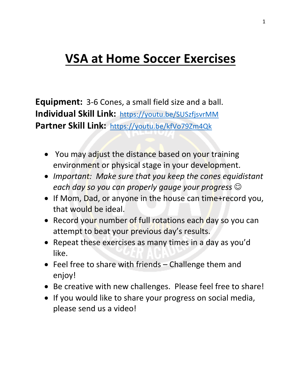# **VSA at Home Soccer Exercises**

**Equipment:** 3-6 Cones, a small field size and a ball. **Individual Skill Link: https://youtu.be/SUSzfjsvrMM** Partner Skill Link: https://youtu.be/kfVo79Zm4Qk

- You may adjust the distance based on your training environment or physical stage in your development.
- *Important:* Make sure that you keep the cones equidistant each day so you can properly gauge your progress  $\odot$
- If Mom, Dad, or anyone in the house can time+record you, that would be ideal.
- Record your number of full rotations each day so you can attempt to beat your previous day's results.
- Repeat these exercises as many times in a day as you'd like.
- Feel free to share with friends  $-$  Challenge them and enjoy!
- Be creative with new challenges. Please feel free to share!
- If you would like to share your progress on social media, please send us a video!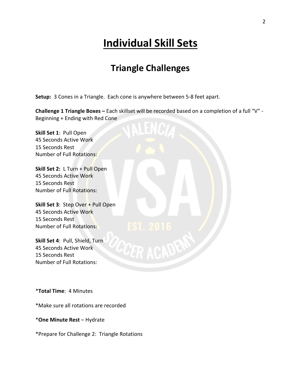# **Individual Skill Sets**

### **Triangle Challenges**

**Setup:** 3 Cones in a Triangle. Each cone is anywhere between 5-8 feet apart.

**Challenge 1 Triangle Boxes -** Each skillset will be recorded based on a completion of a full "V" -Beginning + Ending with Red Cone

**Skill Set 1: Pull Open 45 Seconds Active Work** 15 Seconds Rest Number of Full Rotations:

**Skill Set 2:** L Turn + Pull Open **45 Seconds Active Work** 15 Seconds Rest Number of Full Rotations:

**Skill Set 3:** Step Over + Pull Open 45 Seconds Active Work 15 Seconds Rest Number of Full Rotations:

**Skill Set 4: Pull, Shield, Turn** 45 Seconds Active Work 15 Seconds Rest Number of Full Rotations:

\***Total Time**: 4 Minutes

\*Make sure all rotations are recorded

\***One Minute Rest** – Hydrate

\*Prepare for Challenge 2: Triangle Rotations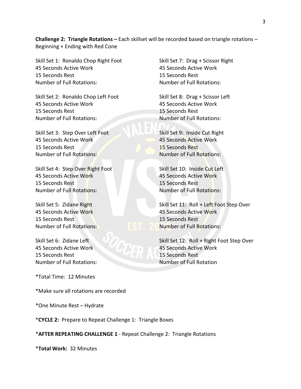**Challenge 2: Triangle Rotations -** Each skillset will be recorded based on triangle rotations -Beginning  $+$  Ending with Red Cone

Skill Set 1: Ronaldo Chop Right Foot 45 Seconds Active Work 15 Seconds Rest Number of Full Rotations:

Skill Set 2: Ronaldo Chop Left Foot 45 Seconds Active Work 15 Seconds Rest Number of Full Rotations:

Skill Set 3: Step Over Left Foot 45 Seconds Active Work 15 Seconds Rest Number of Full Rotations:

Skill Set 4: Step Over Right Foot **45 Seconds Active Work** 15 Seconds Rest Number of Full Rotations:

Skill Set 5: Zidane Right 45 Seconds Active Work 15 Seconds Rest Number of Full Rotations:

Skill Set 6: Zidane Left 45 Seconds Active Work 15 Seconds Rest Number of Full Rotations:

\*Total Time: 12 Minutes

\*Make sure all rotations are recorded

\*One Minute Rest – Hydrate

\*CYCLE 2: Prepare to Repeat Challenge 1: Triangle Boxes

\***AFTER REPEATING CHALLENGE 1** - Repeat Challenge 2: Triangle Rotations

\***Total Work:** 32 Minutes

Skill Set 7: Drag + Scissor Right **45 Seconds Active Work** 15 Seconds Rest Number of Full Rotations:

Skill Set 8: Drag + Scissor Left 45 Seconds Active Work 15 Seconds Rest Number of Full Rotations:

Skill Set 9: Inside Cut Right **45 Seconds Active Work** 15 Seconds Rest Number of Full Rotations:

Skill Set 10: Inside Cut Left 45 Seconds Active Work 15 Seconds Rest Number of Full Rotations:

Skill Set 11: Roll + Left Foot Step Over 45 Seconds Active Work 15 Seconds Rest Number of Full Rotations:

Skill Set 12: Roll + Right Foot Step Over **45 Seconds Active Work** 15 Seconds Rest Number of Full Rotation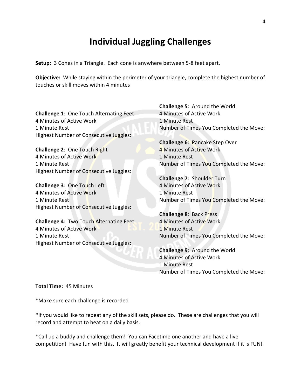#### **Individual Juggling Challenges**

**Setup:** 3 Cones in a Triangle. Each cone is anywhere between 5-8 feet apart.

**Objective:** While staying within the perimeter of your triangle, complete the highest number of touches or skill moves within 4 minutes

**Challenge 1: One Touch Alternating Feet** 4 Minutes of Active Work 1 Minute Rest Highest Number of Consecutive Juggles:

**Challenge 2: One Touch Right** 4 Minutes of Active Work 1 Minute Rest Highest Number of Consecutive Juggles:

**Challenge 3: One Touch Left** 4 Minutes of Active Work 1 Minute Rest Highest Number of Consecutive Juggles:

**Challenge 4: Two Touch Alternating Feet** 4 Minutes of Active Work 1 Minute Rest Highest Number of Consecutive Juggles:

**Challenge 5: Around the World** 4 Minutes of Active Work 1 Minute Rest Number of Times You Completed the Move:

**Challenge 6: Pancake Step Over** 4 Minutes of Active Work 1 Minute Rest Number of Times You Completed the Move:

**Challenge 7: Shoulder Turn** 4 Minutes of Active Work 1 Minute Rest Number of Times You Completed the Move:

**Challenge 8: Back Press** 4 Minutes of Active Work 1 Minute Rest Number of Times You Completed the Move:

**Challenge 9: Around the World** 4 Minutes of Active Work 1 Minute Rest Number of Times You Completed the Move:

**Total Time: 45 Minutes** 

\*Make sure each challenge is recorded

\*If you would like to repeat any of the skill sets, please do. These are challenges that you will record and attempt to beat on a daily basis.

\*Call up a buddy and challenge them! You can Facetime one another and have a live competition! Have fun with this. It will greatly benefit your technical development if it is FUN!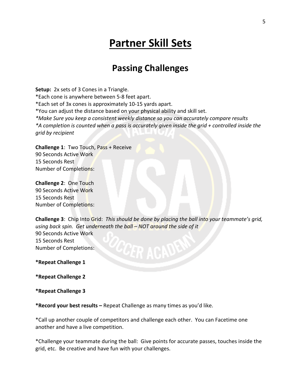## **Partner Skill Sets**

#### **Passing Challenges**

**Setup:** 2x sets of 3 Cones in a Triangle. \*Each cone is anywhere between 5-8 feet apart. \*Each set of 3x cones is approximately 10-15 yards apart. \*You can adjust the distance based on your physical ability and skill set. *\*Make Sure you keep a consistent weekly distance so you can accurately compare results \*A completion is counted when a pass is accurately given inside the grid + controlled inside the grid by recipient*

**Challenge 1:** Two Touch, Pass + Receive 90 Seconds Active Work 15 Seconds Rest Number of Completions:

**Challenge 2: One Touch** 90 Seconds Active Work 15 Seconds Rest Number of Completions:

**Challenge 3**: Chip Into Grid: This should be done by placing the ball into your teammate's grid, using back spin. Get underneath the ball – NOT around the side of it 90 Seconds Active Work 15 Seconds Rest Number of Completions:

**\*Repeat Challenge 1**

**\*Repeat Challenge 2**

**\*Repeat Challenge 3**

**\*Record your best results** – Repeat Challenge as many times as you'd like.

\*Call up another couple of competitors and challenge each other. You can Facetime one another and have a live competition.

\*Challenge your teammate during the ball: Give points for accurate passes, touches inside the grid, etc. Be creative and have fun with your challenges.